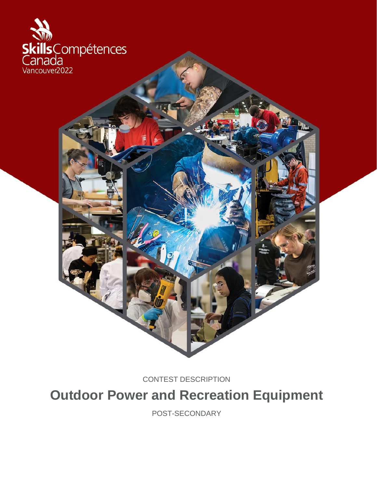

CONTEST DESCRIPTION

**Outdoor Power and Recreation Equipment**

POST-SECONDARY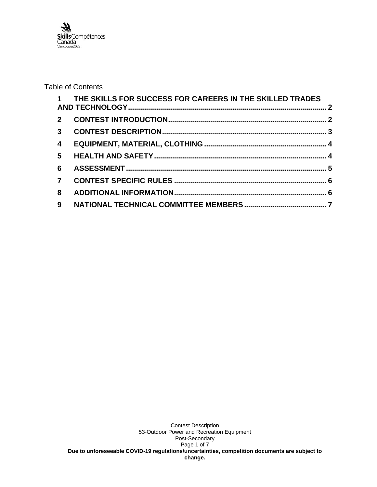

## Table of Contents

|                | 1 THE SKILLS FOR SUCCESS FOR CAREERS IN THE SKILLED TRADES |  |
|----------------|------------------------------------------------------------|--|
|                |                                                            |  |
|                |                                                            |  |
| $\overline{4}$ |                                                            |  |
| 5 <sup>5</sup> |                                                            |  |
| 6              |                                                            |  |
| $\overline{7}$ |                                                            |  |
| 8              |                                                            |  |
| 9              |                                                            |  |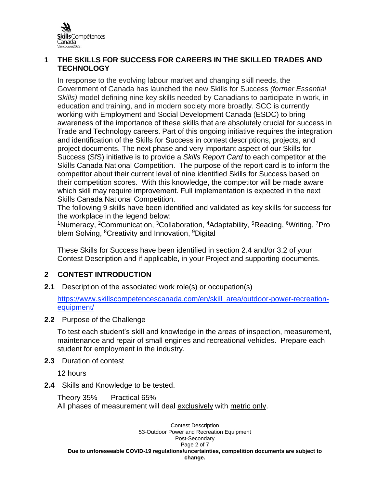

## <span id="page-2-0"></span>**1 THE SKILLS FOR SUCCESS FOR CAREERS IN THE SKILLED TRADES AND TECHNOLOGY**

In response to the evolving labour market and changing skill needs, the Government of Canada has launched the new Skills for Success *(former Essential Skills)* model defining nine key skills needed by Canadians to participate in work, in education and training, and in modern society more broadly. SCC is currently working with Employment and Social Development Canada (ESDC) to bring awareness of the importance of these skills that are absolutely crucial for success in Trade and Technology careers. Part of this ongoing initiative requires the integration and identification of the Skills for Success in contest descriptions, projects, and project documents. The next phase and very important aspect of our Skills for Success (SfS) initiative is to provide a *Skills Report Card* to each competitor at the Skills Canada National Competition. The purpose of the report card is to inform the competitor about their current level of nine identified Skills for Success based on their competition scores. With this knowledge, the competitor will be made aware which skill may require improvement. Full implementation is expected in the next Skills Canada National Competition.

The following 9 skills have been identified and validated as key skills for success for the workplace in the legend below:

<sup>1</sup>Numeracy, <sup>2</sup>Communication, <sup>3</sup>Collaboration, <sup>4</sup>Adaptability, <sup>5</sup>Reading, <sup>6</sup>Writing, <sup>7</sup>Pro blem Solving, <sup>8</sup>Creativity and Innovation, <sup>9</sup>Digital

These Skills for Success have been identified in section 2.4 and/or 3.2 of your Contest Description and if applicable, in your Project and supporting documents.

# <span id="page-2-1"></span>**2 CONTEST INTRODUCTION**

**2.1** Description of the associated work role(s) or occupation(s)

[https://www.skillscompetencescanada.com/en/skill\\_area/outdoor-power-recreation](https://www.skillscompetencescanada.com/en/skill_area/outdoor-power-recreation-equipment/)[equipment/](https://www.skillscompetencescanada.com/en/skill_area/outdoor-power-recreation-equipment/)

**2.2** Purpose of the Challenge

To test each student's skill and knowledge in the areas of inspection, measurement, maintenance and repair of small engines and recreational vehicles. Prepare each student for employment in the industry.

**2.3** Duration of contest

12 hours

**2.4** Skills and Knowledge to be tested.

Theory 35% Practical 65% All phases of measurement will deal exclusively with metric only.

Contest Description 53-Outdoor Power and Recreation Equipment Post-Secondary Page 2 of 7 **Due to unforeseeable COVID-19 regulations/uncertainties, competition documents are subject to change.**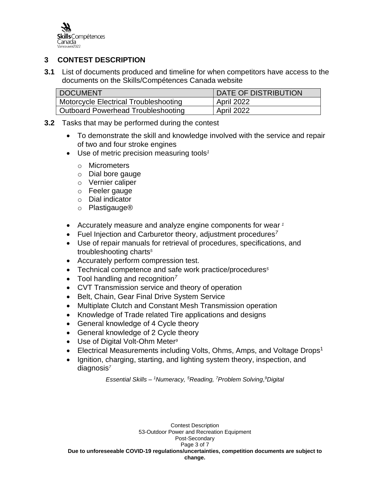

# <span id="page-3-0"></span>**3 CONTEST DESCRIPTION**

**3.1** List of documents produced and timeline for when competitors have access to the documents on the Skills/Compétences Canada website

| <b>DOCUMENT</b>                       | DATE OF DISTRIBUTION |
|---------------------------------------|----------------------|
| Motorcycle Electrical Troubleshooting | April 2022           |
| Outboard Powerhead Troubleshooting    | April 2022           |

- **3.2** Tasks that may be performed during the contest
	- To demonstrate the skill and knowledge involved with the service and repair of two and four stroke engines
	- Use of metric precision measuring tools*<sup>1</sup>*
		- o Micrometers
		- o Dial bore gauge
		- o Vernier caliper
		- o Feeler gauge
		- o Dial indicator
		- o Plastigauge®
	- Accurately measure and analyze engine components for wear *<sup>1</sup>*
	- Fuel Injection and Carburetor theory, adjustment procedures*<sup>7</sup>*
	- Use of repair manuals for retrieval of procedures, specifications, and troubleshooting charts*<sup>5</sup>*
	- Accurately perform compression test.
	- Technical competence and safe work practice/procedures*<sup>5</sup>*
	- Tool handling and recognition*<sup>7</sup>*
	- CVT Transmission service and theory of operation
	- Belt, Chain, Gear Final Drive System Service
	- Multiplate Clutch and Constant Mesh Transmission operation
	- Knowledge of Trade related Tire applications and designs
	- General knowledge of 4 Cycle theory
	- General knowledge of 2 Cycle theory
	- Use of Digital Volt-Ohm Meter*<sup>9</sup>*
	- Electrical Measurements including Volts, Ohms, Amps, and Voltage Drops<sup>1</sup>
	- Ignition, charging, starting, and lighting system theory, inspection, and diagnosis*<sup>7</sup>*

*Essential Skills – <sup>1</sup>Numeracy, <sup>5</sup>Reading, <sup>7</sup>Problem Solving, 9Digital*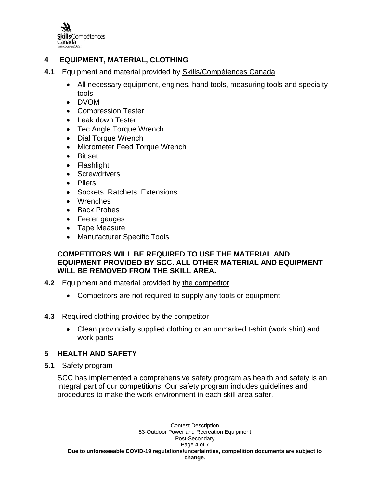

# <span id="page-4-0"></span>**4 EQUIPMENT, MATERIAL, CLOTHING**

- **4.1** Equipment and material provided by Skills/Compétences Canada
	- All necessary equipment, engines, hand tools, measuring tools and specialty tools
	- DVOM
	- Compression Tester
	- Leak down Tester
	- Tec Angle Torque Wrench
	- Dial Torque Wrench
	- Micrometer Feed Torque Wrench
	- Bit set
	- Flashlight
	- Screwdrivers
	- Pliers
	- Sockets, Ratchets, Extensions
	- Wrenches
	- Back Probes
	- Feeler gauges
	- Tape Measure
	- Manufacturer Specific Tools

## **COMPETITORS WILL BE REQUIRED TO USE THE MATERIAL AND EQUIPMENT PROVIDED BY SCC. ALL OTHER MATERIAL AND EQUIPMENT WILL BE REMOVED FROM THE SKILL AREA.**

- **4.2** Equipment and material provided by the competitor
	- Competitors are not required to supply any tools or equipment
- **4.3** Required clothing provided by the competitor
	- Clean provincially supplied clothing or an unmarked t-shirt (work shirt) and work pants

# <span id="page-4-1"></span>**5 HEALTH AND SAFETY**

**5.1** Safety program

SCC has implemented a comprehensive safety program as health and safety is an integral part of our competitions. Our safety program includes guidelines and procedures to make the work environment in each skill area safer.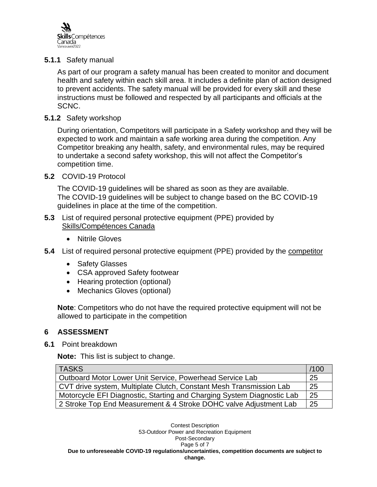

### **5.1.1** Safety manual

As part of our program a safety manual has been created to monitor and document health and safety within each skill area. It includes a definite plan of action designed to prevent accidents. The safety manual will be provided for every skill and these instructions must be followed and respected by all participants and officials at the SCNC.

#### **5.1.2** Safety workshop

During orientation, Competitors will participate in a Safety workshop and they will be expected to work and maintain a safe working area during the competition. Any Competitor breaking any health, safety, and environmental rules, may be required to undertake a second safety workshop, this will not affect the Competitor's competition time.

### **5.2** COVID-19 Protocol

The COVID-19 guidelines will be shared as soon as they are available. The COVID-19 guidelines will be subject to change based on the BC COVID-19 guidelines in place at the time of the competition.

#### **5.3** List of required personal protective equipment (PPE) provided by Skills/Compétences Canada

- Nitrile Gloves
- **5.4** List of required personal protective equipment (PPE) provided by the competitor
	- Safety Glasses
	- CSA approved Safety footwear
	- Hearing protection (optional)
	- Mechanics Gloves (optional)

**Note**: Competitors who do not have the required protective equipment will not be allowed to participate in the competition

### <span id="page-5-0"></span>**6 ASSESSMENT**

#### **6.1** Point breakdown

**Note:** This list is subject to change.

| <b>TASKS</b>                                                           | /100 |
|------------------------------------------------------------------------|------|
| Outboard Motor Lower Unit Service, Powerhead Service Lab               | 25   |
| CVT drive system, Multiplate Clutch, Constant Mesh Transmission Lab    | 25   |
| Motorcycle EFI Diagnostic, Starting and Charging System Diagnostic Lab |      |
| 2 Stroke Top End Measurement & 4 Stroke DOHC valve Adjustment Lab      |      |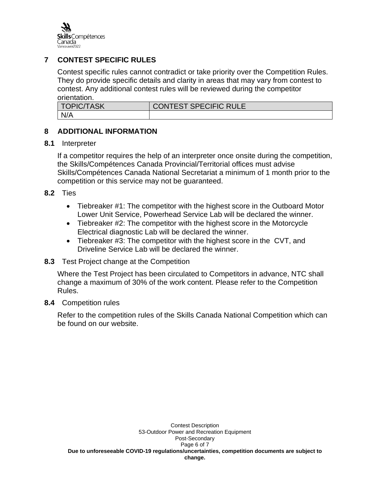

## <span id="page-6-0"></span>**7 CONTEST SPECIFIC RULES**

Contest specific rules cannot contradict or take priority over the Competition Rules. They do provide specific details and clarity in areas that may vary from contest to contest. Any additional contest rules will be reviewed during the competitor orientation.

| <b>TOPIC/TASK</b> | <b>CONTEST SPECIFIC RULE</b> |
|-------------------|------------------------------|
| N/A               |                              |

## <span id="page-6-1"></span>**8 ADDITIONAL INFORMATION**

### **8.1** Interpreter

If a competitor requires the help of an interpreter once onsite during the competition, the Skills/Compétences Canada Provincial/Territorial offices must advise Skills/Compétences Canada National Secretariat a minimum of 1 month prior to the competition or this service may not be guaranteed.

### **8.2** Ties

- Tiebreaker #1: The competitor with the highest score in the Outboard Motor Lower Unit Service, Powerhead Service Lab will be declared the winner.
- Tiebreaker #2: The competitor with the highest score in the Motorcycle Electrical diagnostic Lab will be declared the winner.
- Tiebreaker #3: The competitor with the highest score in the CVT, and Driveline Service Lab will be declared the winner.

### **8.3** Test Project change at the Competition

Where the Test Project has been circulated to Competitors in advance, NTC shall change a maximum of 30% of the work content. Please refer to the Competition Rules.

#### **8.4** Competition rules

Refer to the competition rules of the Skills Canada National Competition which can be found on our website.